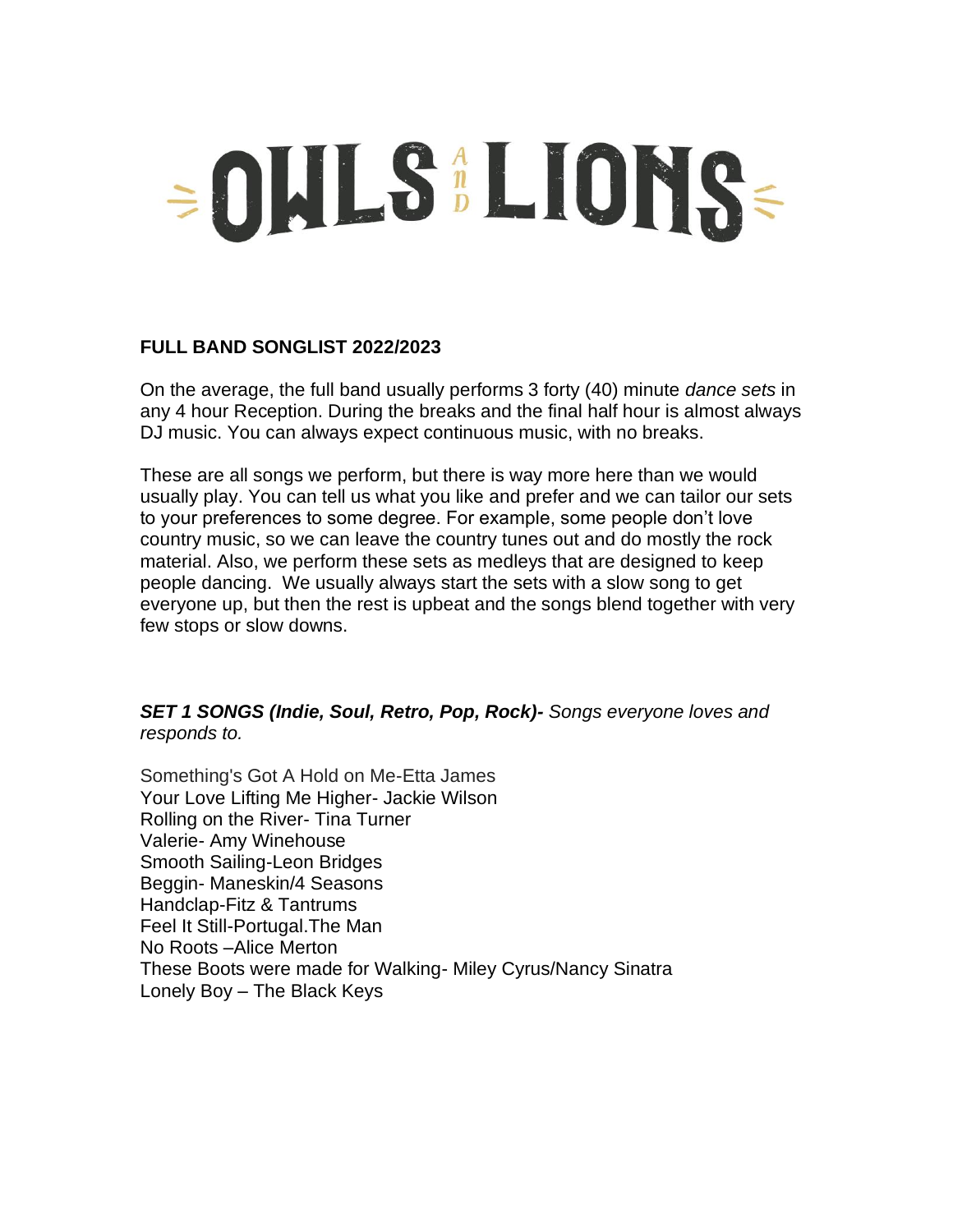# =OULS LIONS=

# **FULL BAND SONGLIST 2022/2023**

On the average, the full band usually performs 3 forty (40) minute *dance sets* in any 4 hour Reception. During the breaks and the final half hour is almost always DJ music. You can always expect continuous music, with no breaks.

These are all songs we perform, but there is way more here than we would usually play. You can tell us what you like and prefer and we can tailor our sets to your preferences to some degree. For example, some people don't love country music, so we can leave the country tunes out and do mostly the rock material. Also, we perform these sets as medleys that are designed to keep people dancing. We usually always start the sets with a slow song to get everyone up, but then the rest is upbeat and the songs blend together with very few stops or slow downs.

# *SET 1 SONGS (Indie, Soul, Retro, Pop, Rock)- Songs everyone loves and responds to.*

Something's Got A Hold on Me-Etta James Your Love Lifting Me Higher- Jackie Wilson Rolling on the River- Tina Turner Valerie- Amy Winehouse Smooth Sailing-Leon Bridges Beggin- Maneskin/4 Seasons Handclap-Fitz & Tantrums Feel It Still-Portugal.The Man No Roots –Alice Merton These Boots were made for Walking- Miley Cyrus/Nancy Sinatra Lonely Boy – The Black Keys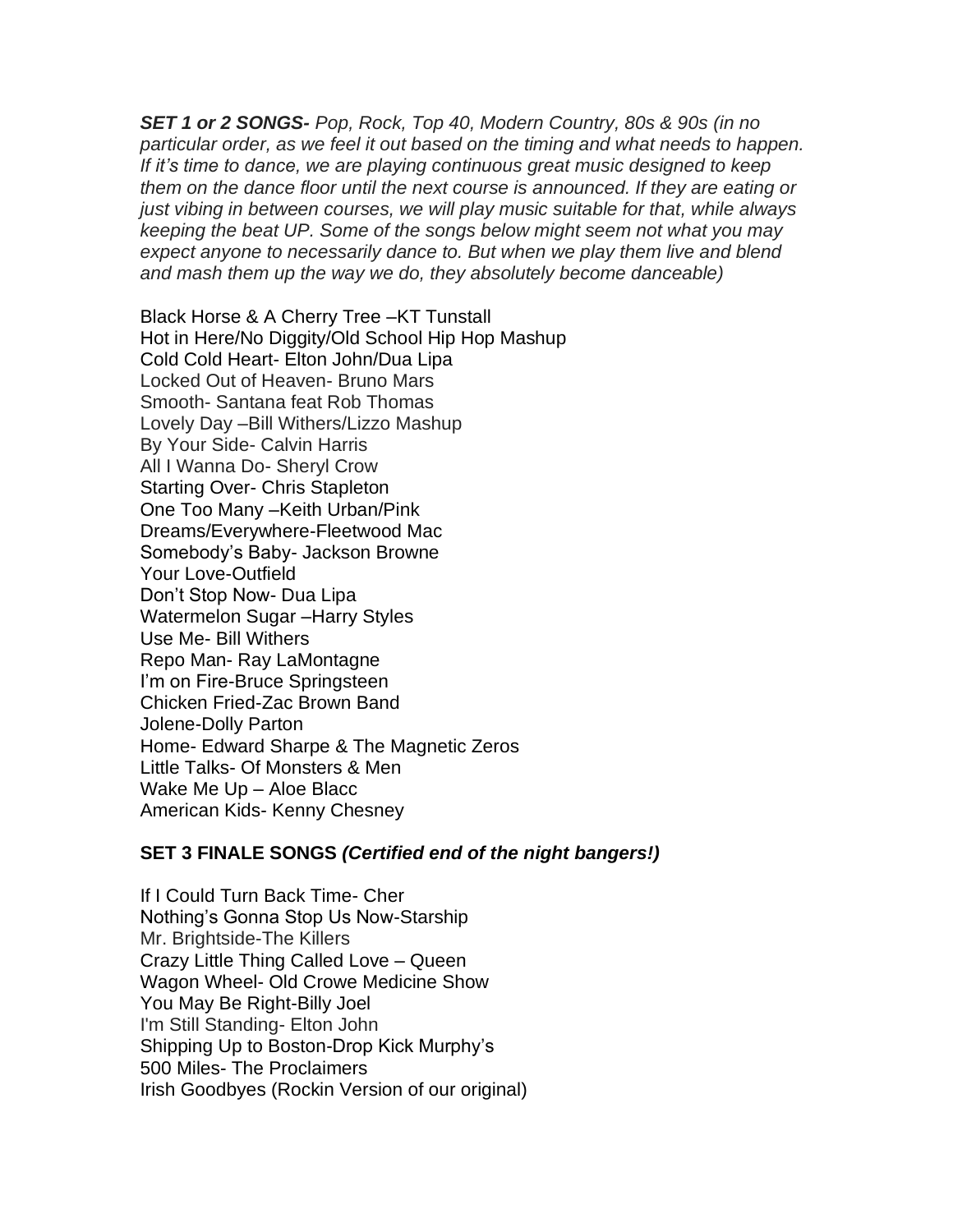*SET 1 or 2 SONGS- Pop, Rock, Top 40, Modern Country, 80s & 90s (in no particular order, as we feel it out based on the timing and what needs to happen. If it's time to dance, we are playing continuous great music designed to keep them on the dance floor until the next course is announced. If they are eating or just vibing in between courses, we will play music suitable for that, while always keeping the beat UP. Some of the songs below might seem not what you may expect anyone to necessarily dance to. But when we play them live and blend and mash them up the way we do, they absolutely become danceable)*

Black Horse & A Cherry Tree –KT Tunstall Hot in Here/No Diggity/Old School Hip Hop Mashup Cold Cold Heart- Elton John/Dua Lipa Locked Out of Heaven- Bruno Mars Smooth- Santana feat Rob Thomas Lovely Day –Bill Withers/Lizzo Mashup By Your Side- Calvin Harris All I Wanna Do- Sheryl Crow Starting Over- Chris Stapleton One Too Many –Keith Urban/Pink Dreams/Everywhere-Fleetwood Mac Somebody's Baby- Jackson Browne Your Love-Outfield Don't Stop Now- Dua Lipa Watermelon Sugar –Harry Styles Use Me- Bill Withers Repo Man- Ray LaMontagne I'm on Fire-Bruce Springsteen Chicken Fried-Zac Brown Band Jolene-Dolly Parton Home- Edward Sharpe & The Magnetic Zeros Little Talks- Of Monsters & Men Wake Me Up – Aloe Blacc American Kids- Kenny Chesney

## **SET 3 FINALE SONGS** *(Certified end of the night bangers!)*

If I Could Turn Back Time- Cher Nothing's Gonna Stop Us Now-Starship Mr. Brightside-The Killers Crazy Little Thing Called Love – Queen Wagon Wheel- Old Crowe Medicine Show You May Be Right-Billy Joel I'm Still Standing- Elton John Shipping Up to Boston-Drop Kick Murphy's 500 Miles- The Proclaimers Irish Goodbyes (Rockin Version of our original)